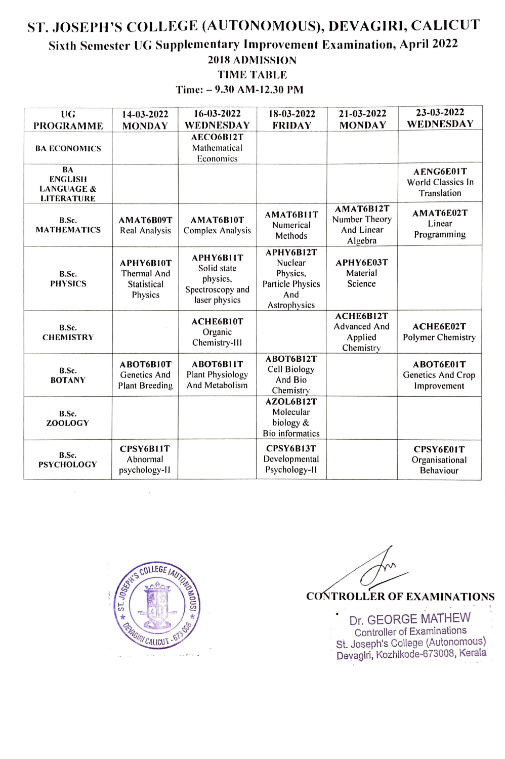## ST. JOSEPH'S COLLEGE (AUTONOMOUS), DEVAGIRI, CALICUT Sixth Semester UG Supplementary Improvement Examination, April 2022 2018 ADMISSION TIME TABLE

Time: - 9.30 AM-12.30 PM

| UG<br><b>PROGRAMME</b>                                             | 14-03-2022<br><b>MONDAY</b>                        | 16-03-2022<br>WEDNESDAY                                                   | 18-03-2022<br><b>FRIDAY</b>                                                        | 21-03-2022<br><b>MONDAY</b>                              | 23-03-2022<br>WEDNESDAY                         |
|--------------------------------------------------------------------|----------------------------------------------------|---------------------------------------------------------------------------|------------------------------------------------------------------------------------|----------------------------------------------------------|-------------------------------------------------|
| <b>BA ECONOMICS</b>                                                |                                                    | AECO6B12T<br>Mathematical<br>Economics                                    |                                                                                    |                                                          |                                                 |
| BA<br><b>ENGLISH</b><br><b>LANGUAGE &amp;</b><br><b>LITERATURE</b> |                                                    |                                                                           |                                                                                    |                                                          | AENG6E01T<br>World Classics In<br>Translation   |
| B.Sc.<br><b>MATHEMATICS</b>                                        | AMAT6B09T<br>Real Analysis                         | AMAT6B10T<br><b>Complex Analysis</b>                                      | AMAT6B11T<br>Numerical<br>Methods                                                  | AMAT6B12T<br>Number Theory<br>And Linear<br>Algebra      | AMAT6E02T<br>Linear<br>Programming              |
| B.Sc.<br><b>PHYSICS</b>                                            | APHY6B10T<br>Thermal And<br>Statistical<br>Physics | APHY6B11T<br>Solid state<br>physics,<br>Spectroscopy and<br>laser physics | APHY6B12T<br>Nuclear<br>Physics,<br><b>Particle Physics</b><br>And<br>Astrophysics | APHY6E03T<br>Material<br>Science                         |                                                 |
| B.Sc.<br><b>CHEMISTRY</b>                                          |                                                    | ACHE6B10T<br>Organic<br>Chemistry-III                                     |                                                                                    | ACHE6B12T<br><b>Advanced And</b><br>Applied<br>Chemistry | ACHE6E02T<br>Polymer Chemistry                  |
| B.Sc.<br><b>BOTANY</b>                                             | ABOT6B10T<br>Genetics And<br><b>Plant Breeding</b> | ABOT6B11T<br>Plant Physiology<br>And Metabolism                           | ABOT6B12T<br>Cell Biology<br>And Bio<br>Chemistry                                  |                                                          | ABOT6E01T<br>Genetics And Crop<br>Improvement   |
| B.Sc.<br><b>ZOOLOGY</b>                                            |                                                    |                                                                           | AZOL6B12T<br>Molecular<br>biology &<br><b>Bio</b> informatics                      |                                                          |                                                 |
| B.Sc.<br><b>PSYCHOLOGY</b>                                         | CPSY6B11T<br>Abnormal<br>psychology-II             |                                                                           | CPSY6B13T<br>Developmental<br>Psychology-II                                        |                                                          | CPSY6E01T<br>Organisational<br><b>Behaviour</b> |



**CONTROLLER OF EXAMINATIONS** 

. Dr. GEORGE MATHEW Controller of Examinations st. Joseph's College (Autonomous) Devagiri, Kozhikode-673008, Kerala